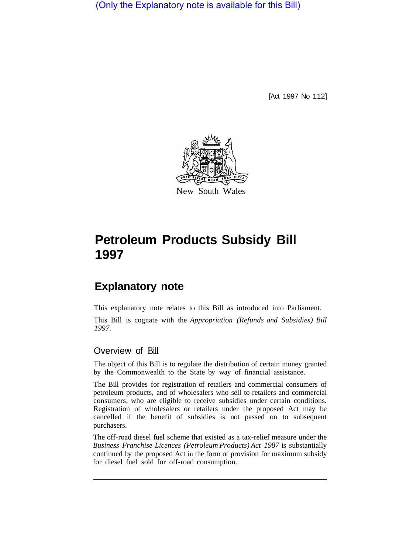(Only the Explanatory note is available for this Bill)

[Act 1997 No 112]



# **Petroleum Products Subsidy Bill 1997**

# **Explanatory note**

This explanatory note relates to this Bill as introduced into Parliament. This Bill is cognate with the *Appropriation (Refunds and Subsidies) Bill 1997.* 

## Overview of Bill

The object of this Bill is to regulate the distribution of certain money granted by the Commonwealth to the State by way of financial assistance.

The Bill provides for registration of retailers and commercial consumers of petroleum products, and of wholesalers who sell to retailers and commercial consumers, who are eligible to receive subsidies under certain conditions. Registration of wholesalers or retailers under the proposed Act may be cancelled if the benefit of subsidies is not passed on to subsequent purchasers.

The off-road diesel fuel scheme that existed as a tax-relief measure under the *Business Franchise Licences (Petroleum Products) Act 1987* is substantially continued by the proposed Act in the form of provision for maximum subsidy for diesel fuel sold for off-road consumption.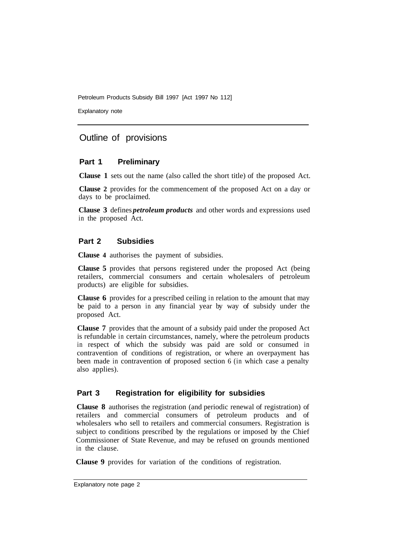Explanatory note

### Outline of provisions

#### **Part 1 Preliminary**

**Clause 1** sets out the name (also called the short title) of the proposed Act.

**Clause 2** provides for the commencement of the proposed Act on a day or days to be proclaimed.

**Clause 3** defines *petroleum products* and other words and expressions used in the proposed Act.

#### **Part 2 Subsidies**

**Clause 4** authorises the payment of subsidies.

**Clause 5** provides that persons registered under the proposed Act (being retailers, commercial consumers and certain wholesalers of petroleum products) are eligible for subsidies.

**Clause 6** provides for a prescribed ceiling in relation to the amount that may be paid to a person in any financial year by way of subsidy under the proposed Act.

**Clause 7** provides that the amount of a subsidy paid under the proposed Act is refundable in certain circumstances, namely, where the petroleum products in respect of which the subsidy was paid are sold or consumed in contravention of conditions of registration, or where an overpayment has been made in contravention of proposed section 6 (in which case a penalty also applies).

#### **Part 3 Registration for eligibility for subsidies**

**Clause 8** authorises the registration (and periodic renewal of registration) of retailers and commercial consumers of petroleum products and of wholesalers who sell to retailers and commercial consumers. Registration is subject to conditions prescribed by the regulations or imposed by the Chief Commissioner of State Revenue, and may be refused on grounds mentioned in the clause.

**Clause 9** provides for variation of the conditions of registration.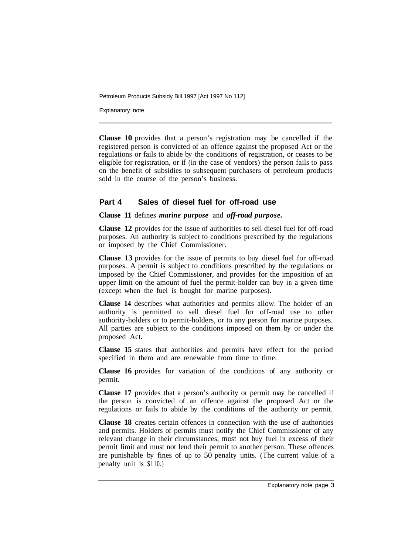Explanatory note

**Clause 10** provides that a person's registration may be cancelled if the registered person is convicted of an offence against the proposed Act or the regulations or fails to abide by the conditions of registration, or ceases to be eligible for registration, or if (in the case of vendors) the person fails to pass on the benefit of subsidies to subsequent purchasers of petroleum products sold in the course of the person's business.

#### **Part 4 Sales of diesel fuel for off-road use**

#### **Clause 11** defines *marine purpose* and *off-road purpose.*

**Clause 12** provides for the issue of authorities to sell diesel fuel for off-road purposes. An authority is subject to conditions prescribed by the regulations or imposed by the Chief Commissioner.

**Clause 13** provides for the issue of permits to buy diesel fuel for off-road purposes. A permit is subject to conditions prescribed by the regulations or imposed by the Chief Commissioner, and provides for the imposition of an upper limit on the amount of fuel the permit-holder can buy in a given time (except when the fuel is bought for marine purposes).

**Clause 14** describes what authorities and permits allow. The holder of an authority is permitted to sell diesel fuel for off-road use to other authority-holders or to permit-holders, or to any person for marine purposes. All parties are subject to the conditions imposed on them by or under the proposed Act.

**Clause 15** states that authorities and permits have effect for the period specified in them and are renewable from time to time.

**Clause 16** provides for variation of the conditions of any authority or permit.

**Clause 17** provides that a person's authority or permit may be cancelled if the person is convicted of an offence against the proposed Act or the regulations or fails to abide by the conditions of the authority or permit.

**Clause 18** creates certain offences in connection with the use of authorities and permits. Holders of permits must notify the Chief Commissioner of any relevant change in their circumstances, must not buy fuel in excess of their permit limit and must not lend their permit to another person. These offences are punishable by fines of up to 50 penalty units. (The current value of a penalty unit is \$110.)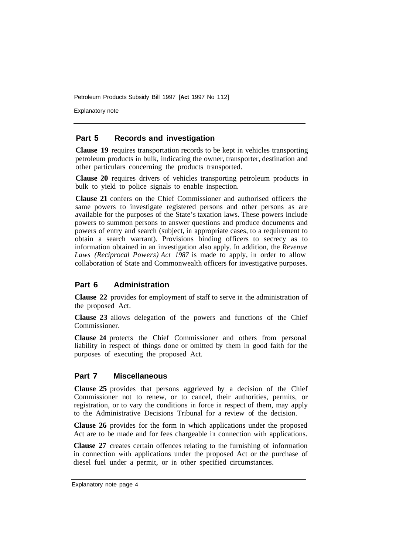Explanatory note

#### **Part 5 Records and investigation**

**Clause 19** requires transportation records to be kept in vehicles transporting petroleum products in bulk, indicating the owner, transporter, destination and other particulars concerning the products transported.

**Clause 20** requires drivers of vehicles transporting petroleum products in bulk to yield to police signals to enable inspection.

**Clause 21** confers on the Chief Commissioner and authorised officers the same powers to investigate registered persons and other persons as are available for the purposes of the State's taxation laws. These powers include powers to summon persons to answer questions and produce documents and powers of entry and search (subject, in appropriate cases, to a requirement to obtain a search warrant). Provisions binding officers to secrecy as to information obtained in an investigation also apply. In addition, the *Revenue Laws (Reciprocal Powers) Act 1987* is made to apply, in order to allow collaboration of State and Commonwealth officers for investigative purposes.

#### **Part 6 Administration**

**Clause 22** provides for employment of staff to serve in the administration of the proposed Act.

**Clause 23** allows delegation of the powers and functions of the Chief Commissioner.

**Clause 24** protects the Chief Commissioner and others from personal liability in respect of things done or omitted by them in good faith for the purposes of executing the proposed Act.

#### **Part 7 Miscellaneous**

**Clause 25** provides that persons aggrieved by a decision of the Chief Commissioner not to renew, or to cancel, their authorities, permits, or registration, or to vary the conditions in force in respect of them, may apply to the Administrative Decisions Tribunal for a review of the decision.

**Clause 26** provides for the form in which applications under the proposed Act are to be made and for fees chargeable in connection with applications.

**Clause 27** creates certain offences relating to the furnishing of information in connection with applications under the proposed Act or the purchase of diesel fuel under a permit, or in other specified circumstances.